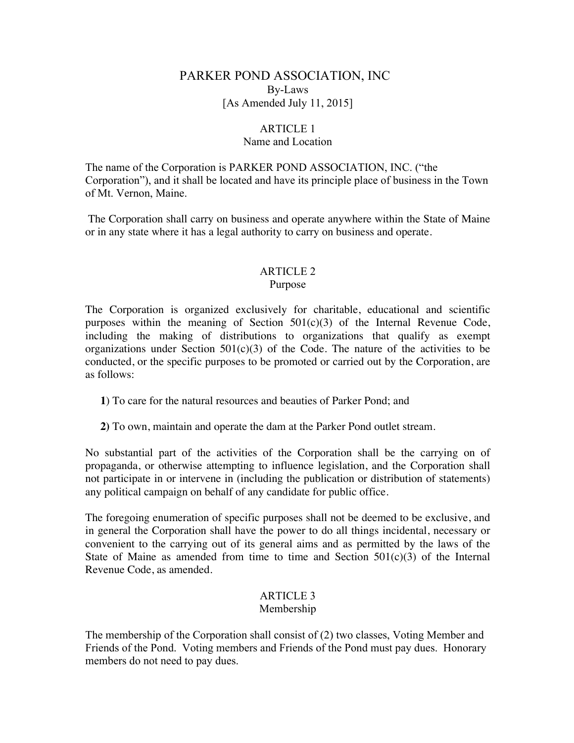# PARKER POND ASSOCIATION, INC By-Laws [As Amended July 11, 2015]

## ARTICLE 1

### Name and Location

The name of the Corporation is PARKER POND ASSOCIATION, INC. ("the Corporation"), and it shall be located and have its principle place of business in the Town of Mt. Vernon, Maine.

The Corporation shall carry on business and operate anywhere within the State of Maine or in any state where it has a legal authority to carry on business and operate.

## ARTICLE 2 Purpose

The Corporation is organized exclusively for charitable, educational and scientific purposes within the meaning of Section  $501(c)(3)$  of the Internal Revenue Code, including the making of distributions to organizations that qualify as exempt organizations under Section  $501(c)(3)$  of the Code. The nature of the activities to be conducted, or the specific purposes to be promoted or carried out by the Corporation, are as follows:

**1**) To care for the natural resources and beauties of Parker Pond; and

**2)** To own, maintain and operate the dam at the Parker Pond outlet stream.

No substantial part of the activities of the Corporation shall be the carrying on of propaganda, or otherwise attempting to influence legislation, and the Corporation shall not participate in or intervene in (including the publication or distribution of statements) any political campaign on behalf of any candidate for public office.

The foregoing enumeration of specific purposes shall not be deemed to be exclusive, and in general the Corporation shall have the power to do all things incidental, necessary or convenient to the carrying out of its general aims and as permitted by the laws of the State of Maine as amended from time to time and Section  $501(c)(3)$  of the Internal Revenue Code, as amended.

# ARTICLE 3

## Membership

The membership of the Corporation shall consist of (2) two classes, Voting Member and Friends of the Pond. Voting members and Friends of the Pond must pay dues. Honorary members do not need to pay dues.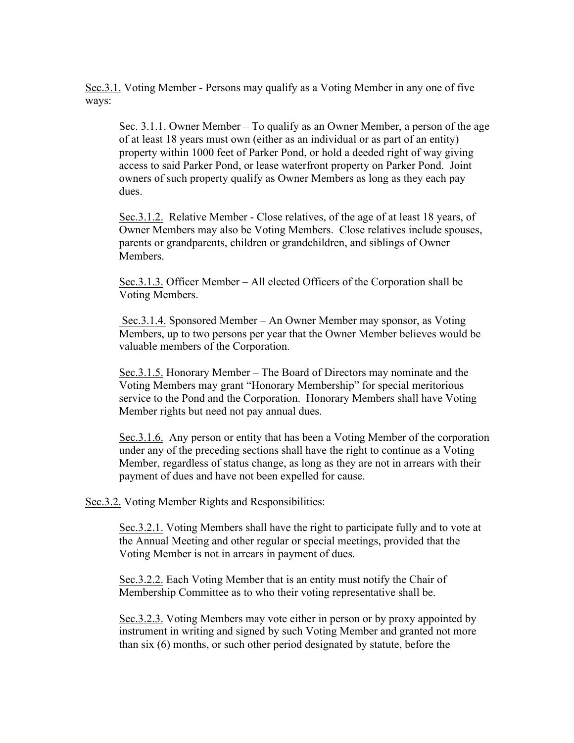Sec.3.1. Voting Member - Persons may qualify as a Voting Member in any one of five ways:

Sec. 3.1.1. Owner Member – To qualify as an Owner Member, a person of the age of at least 18 years must own (either as an individual or as part of an entity) property within 1000 feet of Parker Pond, or hold a deeded right of way giving access to said Parker Pond, or lease waterfront property on Parker Pond. Joint owners of such property qualify as Owner Members as long as they each pay dues.

Sec.3.1.2. Relative Member - Close relatives, of the age of at least 18 years, of Owner Members may also be Voting Members. Close relatives include spouses, parents or grandparents, children or grandchildren, and siblings of Owner **Members** 

Sec.3.1.3. Officer Member – All elected Officers of the Corporation shall be Voting Members.

Sec.3.1.4. Sponsored Member – An Owner Member may sponsor, as Voting Members, up to two persons per year that the Owner Member believes would be valuable members of the Corporation.

Sec.3.1.5. Honorary Member – The Board of Directors may nominate and the Voting Members may grant "Honorary Membership" for special meritorious service to the Pond and the Corporation. Honorary Members shall have Voting Member rights but need not pay annual dues.

Sec.3.1.6. Any person or entity that has been a Voting Member of the corporation under any of the preceding sections shall have the right to continue as a Voting Member, regardless of status change, as long as they are not in arrears with their payment of dues and have not been expelled for cause.

Sec.3.2. Voting Member Rights and Responsibilities:

Sec.3.2.1. Voting Members shall have the right to participate fully and to vote at the Annual Meeting and other regular or special meetings, provided that the Voting Member is not in arrears in payment of dues.

Sec.3.2.2. Each Voting Member that is an entity must notify the Chair of Membership Committee as to who their voting representative shall be.

Sec.3.2.3. Voting Members may vote either in person or by proxy appointed by instrument in writing and signed by such Voting Member and granted not more than six (6) months, or such other period designated by statute, before the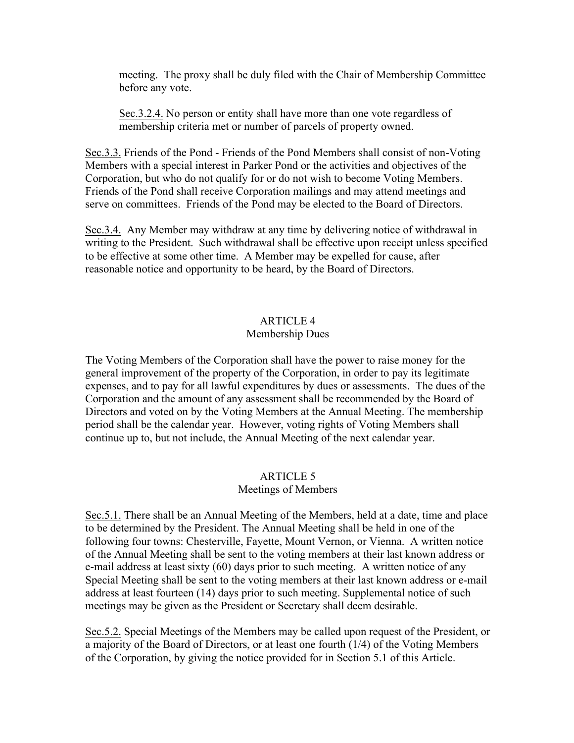meeting. The proxy shall be duly filed with the Chair of Membership Committee before any vote.

Sec.3.2.4. No person or entity shall have more than one vote regardless of membership criteria met or number of parcels of property owned.

Sec.3.3. Friends of the Pond - Friends of the Pond Members shall consist of non-Voting Members with a special interest in Parker Pond or the activities and objectives of the Corporation, but who do not qualify for or do not wish to become Voting Members. Friends of the Pond shall receive Corporation mailings and may attend meetings and serve on committees. Friends of the Pond may be elected to the Board of Directors.

Sec.3.4. Any Member may withdraw at any time by delivering notice of withdrawal in writing to the President. Such withdrawal shall be effective upon receipt unless specified to be effective at some other time. A Member may be expelled for cause, after reasonable notice and opportunity to be heard, by the Board of Directors.

# ARTICLE 4

## Membership Dues

The Voting Members of the Corporation shall have the power to raise money for the general improvement of the property of the Corporation, in order to pay its legitimate expenses, and to pay for all lawful expenditures by dues or assessments. The dues of the Corporation and the amount of any assessment shall be recommended by the Board of Directors and voted on by the Voting Members at the Annual Meeting. The membership period shall be the calendar year. However, voting rights of Voting Members shall continue up to, but not include, the Annual Meeting of the next calendar year.

## ARTICLE 5

## Meetings of Members

Sec.5.1. There shall be an Annual Meeting of the Members, held at a date, time and place to be determined by the President. The Annual Meeting shall be held in one of the following four towns: Chesterville, Fayette, Mount Vernon, or Vienna. A written notice of the Annual Meeting shall be sent to the voting members at their last known address or e-mail address at least sixty (60) days prior to such meeting. A written notice of any Special Meeting shall be sent to the voting members at their last known address or e-mail address at least fourteen (14) days prior to such meeting. Supplemental notice of such meetings may be given as the President or Secretary shall deem desirable.

Sec.5.2. Special Meetings of the Members may be called upon request of the President, or a majority of the Board of Directors, or at least one fourth (1/4) of the Voting Members of the Corporation, by giving the notice provided for in Section 5.1 of this Article.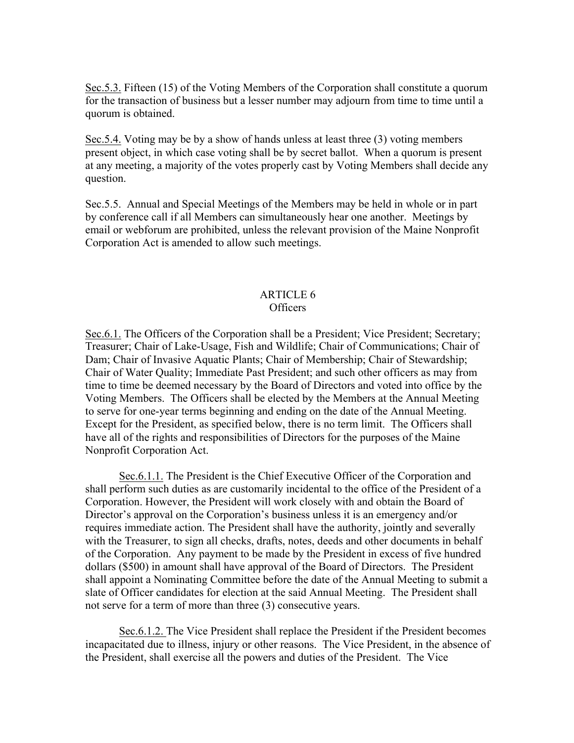Sec.5.3. Fifteen (15) of the Voting Members of the Corporation shall constitute a quorum for the transaction of business but a lesser number may adjourn from time to time until a quorum is obtained.

Sec.5.4. Voting may be by a show of hands unless at least three (3) voting members present object, in which case voting shall be by secret ballot. When a quorum is present at any meeting, a majority of the votes properly cast by Voting Members shall decide any question.

Sec.5.5. Annual and Special Meetings of the Members may be held in whole or in part by conference call if all Members can simultaneously hear one another. Meetings by email or webforum are prohibited, unless the relevant provision of the Maine Nonprofit Corporation Act is amended to allow such meetings.

## ARTICLE 6 Officers

Sec.6.1. The Officers of the Corporation shall be a President; Vice President; Secretary; Treasurer; Chair of Lake-Usage, Fish and Wildlife; Chair of Communications; Chair of Dam; Chair of Invasive Aquatic Plants; Chair of Membership; Chair of Stewardship; Chair of Water Quality; Immediate Past President; and such other officers as may from time to time be deemed necessary by the Board of Directors and voted into office by the Voting Members. The Officers shall be elected by the Members at the Annual Meeting to serve for one-year terms beginning and ending on the date of the Annual Meeting. Except for the President, as specified below, there is no term limit. The Officers shall have all of the rights and responsibilities of Directors for the purposes of the Maine Nonprofit Corporation Act.

Sec.6.1.1. The President is the Chief Executive Officer of the Corporation and shall perform such duties as are customarily incidental to the office of the President of a Corporation. However, the President will work closely with and obtain the Board of Director's approval on the Corporation's business unless it is an emergency and/or requires immediate action. The President shall have the authority, jointly and severally with the Treasurer, to sign all checks, drafts, notes, deeds and other documents in behalf of the Corporation. Any payment to be made by the President in excess of five hundred dollars (\$500) in amount shall have approval of the Board of Directors. The President shall appoint a Nominating Committee before the date of the Annual Meeting to submit a slate of Officer candidates for election at the said Annual Meeting. The President shall not serve for a term of more than three (3) consecutive years.

Sec.6.1.2. The Vice President shall replace the President if the President becomes incapacitated due to illness, injury or other reasons. The Vice President, in the absence of the President, shall exercise all the powers and duties of the President. The Vice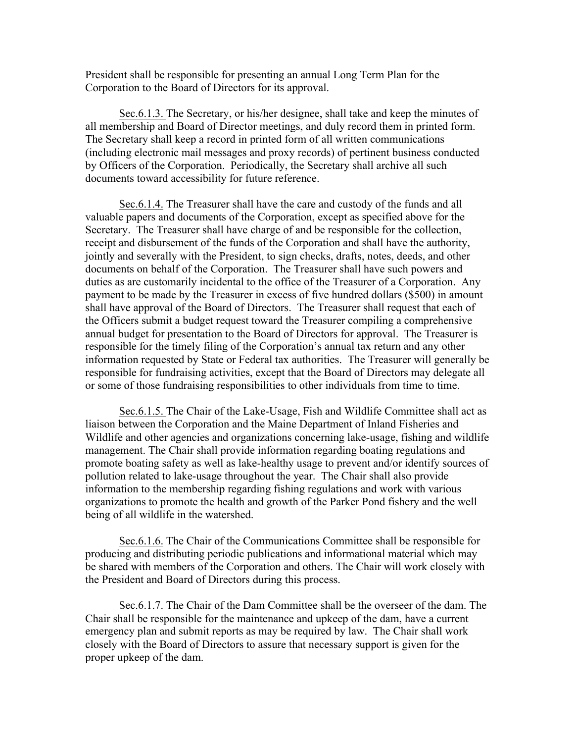President shall be responsible for presenting an annual Long Term Plan for the Corporation to the Board of Directors for its approval.

Sec.6.1.3. The Secretary, or his/her designee, shall take and keep the minutes of all membership and Board of Director meetings, and duly record them in printed form. The Secretary shall keep a record in printed form of all written communications (including electronic mail messages and proxy records) of pertinent business conducted by Officers of the Corporation. Periodically, the Secretary shall archive all such documents toward accessibility for future reference.

Sec.6.1.4. The Treasurer shall have the care and custody of the funds and all valuable papers and documents of the Corporation, except as specified above for the Secretary. The Treasurer shall have charge of and be responsible for the collection, receipt and disbursement of the funds of the Corporation and shall have the authority, jointly and severally with the President, to sign checks, drafts, notes, deeds, and other documents on behalf of the Corporation. The Treasurer shall have such powers and duties as are customarily incidental to the office of the Treasurer of a Corporation. Any payment to be made by the Treasurer in excess of five hundred dollars (\$500) in amount shall have approval of the Board of Directors. The Treasurer shall request that each of the Officers submit a budget request toward the Treasurer compiling a comprehensive annual budget for presentation to the Board of Directors for approval. The Treasurer is responsible for the timely filing of the Corporation's annual tax return and any other information requested by State or Federal tax authorities. The Treasurer will generally be responsible for fundraising activities, except that the Board of Directors may delegate all or some of those fundraising responsibilities to other individuals from time to time.

Sec.6.1.5. The Chair of the Lake-Usage, Fish and Wildlife Committee shall act as liaison between the Corporation and the Maine Department of Inland Fisheries and Wildlife and other agencies and organizations concerning lake-usage, fishing and wildlife management. The Chair shall provide information regarding boating regulations and promote boating safety as well as lake-healthy usage to prevent and/or identify sources of pollution related to lake-usage throughout the year. The Chair shall also provide information to the membership regarding fishing regulations and work with various organizations to promote the health and growth of the Parker Pond fishery and the well being of all wildlife in the watershed.

Sec.6.1.6. The Chair of the Communications Committee shall be responsible for producing and distributing periodic publications and informational material which may be shared with members of the Corporation and others. The Chair will work closely with the President and Board of Directors during this process.

Sec.6.1.7. The Chair of the Dam Committee shall be the overseer of the dam. The Chair shall be responsible for the maintenance and upkeep of the dam, have a current emergency plan and submit reports as may be required by law. The Chair shall work closely with the Board of Directors to assure that necessary support is given for the proper upkeep of the dam.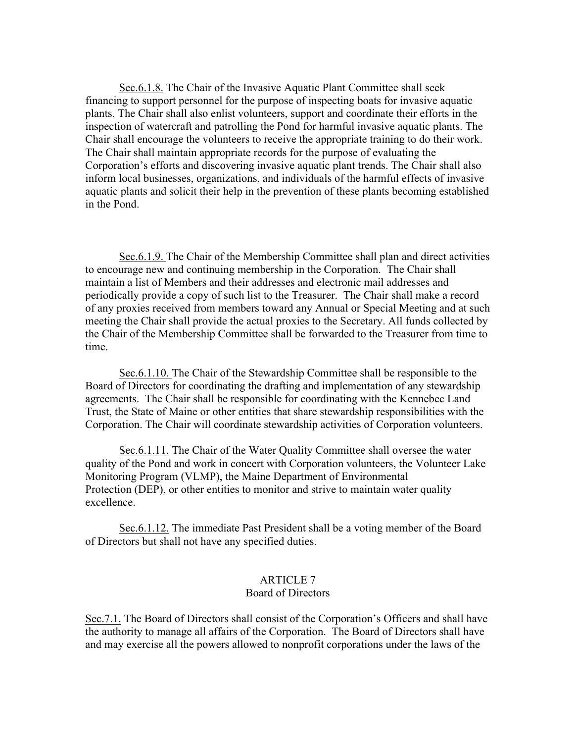Sec.6.1.8. The Chair of the Invasive Aquatic Plant Committee shall seek financing to support personnel for the purpose of inspecting boats for invasive aquatic plants. The Chair shall also enlist volunteers, support and coordinate their efforts in the inspection of watercraft and patrolling the Pond for harmful invasive aquatic plants. The Chair shall encourage the volunteers to receive the appropriate training to do their work. The Chair shall maintain appropriate records for the purpose of evaluating the Corporation's efforts and discovering invasive aquatic plant trends. The Chair shall also inform local businesses, organizations, and individuals of the harmful effects of invasive aquatic plants and solicit their help in the prevention of these plants becoming established in the Pond.

Sec.6.1.9. The Chair of the Membership Committee shall plan and direct activities to encourage new and continuing membership in the Corporation. The Chair shall maintain a list of Members and their addresses and electronic mail addresses and periodically provide a copy of such list to the Treasurer. The Chair shall make a record of any proxies received from members toward any Annual or Special Meeting and at such meeting the Chair shall provide the actual proxies to the Secretary. All funds collected by the Chair of the Membership Committee shall be forwarded to the Treasurer from time to time.

Sec.6.1.10. The Chair of the Stewardship Committee shall be responsible to the Board of Directors for coordinating the drafting and implementation of any stewardship agreements. The Chair shall be responsible for coordinating with the Kennebec Land Trust, the State of Maine or other entities that share stewardship responsibilities with the Corporation. The Chair will coordinate stewardship activities of Corporation volunteers.

Sec.6.1.11. The Chair of the Water Quality Committee shall oversee the water quality of the Pond and work in concert with Corporation volunteers, the Volunteer Lake Monitoring Program (VLMP), the Maine Department of Environmental Protection (DEP), or other entities to monitor and strive to maintain water quality excellence.

Sec.6.1.12. The immediate Past President shall be a voting member of the Board of Directors but shall not have any specified duties.

#### ARTICLE 7 Board of Directors

Sec.7.1. The Board of Directors shall consist of the Corporation's Officers and shall have the authority to manage all affairs of the Corporation. The Board of Directors shall have and may exercise all the powers allowed to nonprofit corporations under the laws of the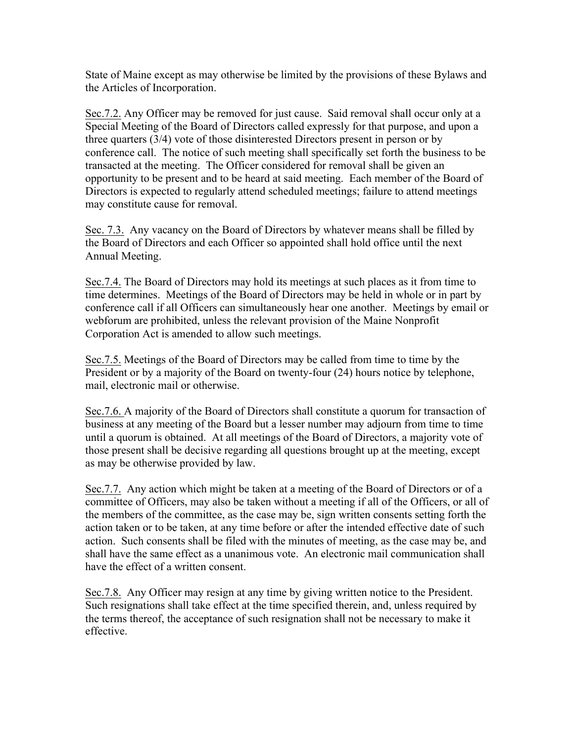State of Maine except as may otherwise be limited by the provisions of these Bylaws and the Articles of Incorporation.

Sec.7.2. Any Officer may be removed for just cause. Said removal shall occur only at a Special Meeting of the Board of Directors called expressly for that purpose, and upon a three quarters (3/4) vote of those disinterested Directors present in person or by conference call. The notice of such meeting shall specifically set forth the business to be transacted at the meeting. The Officer considered for removal shall be given an opportunity to be present and to be heard at said meeting. Each member of the Board of Directors is expected to regularly attend scheduled meetings; failure to attend meetings may constitute cause for removal.

Sec. 7.3. Any vacancy on the Board of Directors by whatever means shall be filled by the Board of Directors and each Officer so appointed shall hold office until the next Annual Meeting.

Sec.7.4. The Board of Directors may hold its meetings at such places as it from time to time determines. Meetings of the Board of Directors may be held in whole or in part by conference call if all Officers can simultaneously hear one another. Meetings by email or webforum are prohibited, unless the relevant provision of the Maine Nonprofit Corporation Act is amended to allow such meetings.

Sec.7.5. Meetings of the Board of Directors may be called from time to time by the President or by a majority of the Board on twenty-four (24) hours notice by telephone, mail, electronic mail or otherwise.

Sec.7.6. A majority of the Board of Directors shall constitute a quorum for transaction of business at any meeting of the Board but a lesser number may adjourn from time to time until a quorum is obtained. At all meetings of the Board of Directors, a majority vote of those present shall be decisive regarding all questions brought up at the meeting, except as may be otherwise provided by law.

Sec.7.7. Any action which might be taken at a meeting of the Board of Directors or of a committee of Officers, may also be taken without a meeting if all of the Officers, or all of the members of the committee, as the case may be, sign written consents setting forth the action taken or to be taken, at any time before or after the intended effective date of such action. Such consents shall be filed with the minutes of meeting, as the case may be, and shall have the same effect as a unanimous vote. An electronic mail communication shall have the effect of a written consent.

Sec.7.8. Any Officer may resign at any time by giving written notice to the President. Such resignations shall take effect at the time specified therein, and, unless required by the terms thereof, the acceptance of such resignation shall not be necessary to make it effective.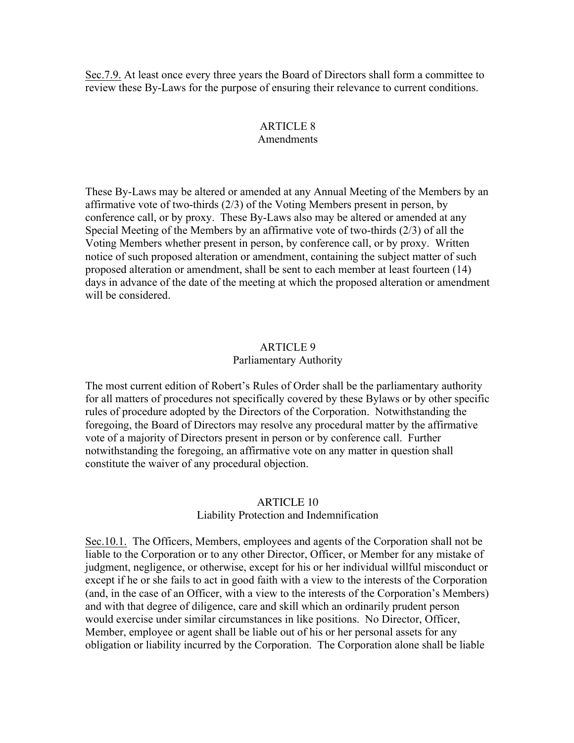Sec.7.9. At least once every three years the Board of Directors shall form a committee to review these By-Laws for the purpose of ensuring their relevance to current conditions.

### ARTICLE 8 Amendments

These By-Laws may be altered or amended at any Annual Meeting of the Members by an affirmative vote of two-thirds (2/3) of the Voting Members present in person, by conference call, or by proxy. These By-Laws also may be altered or amended at any Special Meeting of the Members by an affirmative vote of two-thirds (2/3) of all the Voting Members whether present in person, by conference call, or by proxy. Written notice of such proposed alteration or amendment, containing the subject matter of such proposed alteration or amendment, shall be sent to each member at least fourteen (14) days in advance of the date of the meeting at which the proposed alteration or amendment will be considered.

# ARTICLE 9

## Parliamentary Authority

The most current edition of Robert's Rules of Order shall be the parliamentary authority for all matters of procedures not specifically covered by these Bylaws or by other specific rules of procedure adopted by the Directors of the Corporation. Notwithstanding the foregoing, the Board of Directors may resolve any procedural matter by the affirmative vote of a majority of Directors present in person or by conference call. Further notwithstanding the foregoing, an affirmative vote on any matter in question shall constitute the waiver of any procedural objection.

## ARTICLE 10

## Liability Protection and Indemnification

Sec.10.1. The Officers, Members, employees and agents of the Corporation shall not be liable to the Corporation or to any other Director, Officer, or Member for any mistake of judgment, negligence, or otherwise, except for his or her individual willful misconduct or except if he or she fails to act in good faith with a view to the interests of the Corporation (and, in the case of an Officer, with a view to the interests of the Corporation's Members) and with that degree of diligence, care and skill which an ordinarily prudent person would exercise under similar circumstances in like positions. No Director, Officer, Member, employee or agent shall be liable out of his or her personal assets for any obligation or liability incurred by the Corporation. The Corporation alone shall be liable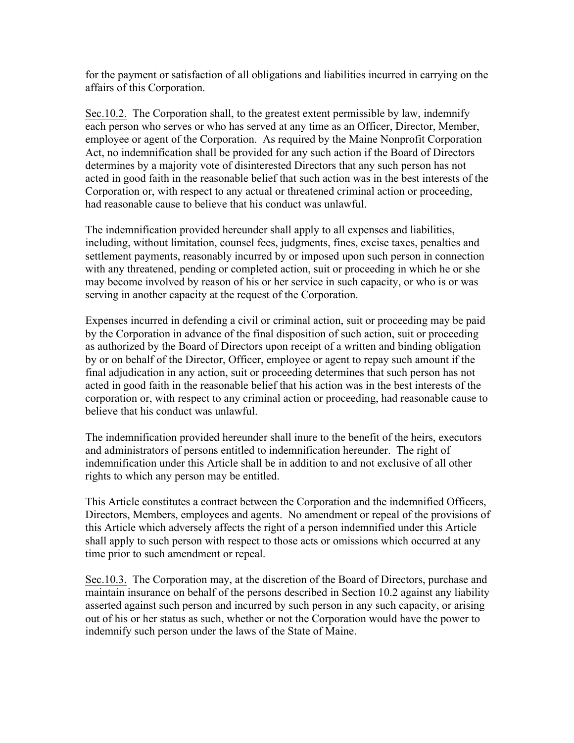for the payment or satisfaction of all obligations and liabilities incurred in carrying on the affairs of this Corporation.

Sec.10.2. The Corporation shall, to the greatest extent permissible by law, indemnify each person who serves or who has served at any time as an Officer, Director, Member, employee or agent of the Corporation. As required by the Maine Nonprofit Corporation Act, no indemnification shall be provided for any such action if the Board of Directors determines by a majority vote of disinterested Directors that any such person has not acted in good faith in the reasonable belief that such action was in the best interests of the Corporation or, with respect to any actual or threatened criminal action or proceeding, had reasonable cause to believe that his conduct was unlawful.

The indemnification provided hereunder shall apply to all expenses and liabilities, including, without limitation, counsel fees, judgments, fines, excise taxes, penalties and settlement payments, reasonably incurred by or imposed upon such person in connection with any threatened, pending or completed action, suit or proceeding in which he or she may become involved by reason of his or her service in such capacity, or who is or was serving in another capacity at the request of the Corporation.

Expenses incurred in defending a civil or criminal action, suit or proceeding may be paid by the Corporation in advance of the final disposition of such action, suit or proceeding as authorized by the Board of Directors upon receipt of a written and binding obligation by or on behalf of the Director, Officer, employee or agent to repay such amount if the final adjudication in any action, suit or proceeding determines that such person has not acted in good faith in the reasonable belief that his action was in the best interests of the corporation or, with respect to any criminal action or proceeding, had reasonable cause to believe that his conduct was unlawful.

The indemnification provided hereunder shall inure to the benefit of the heirs, executors and administrators of persons entitled to indemnification hereunder. The right of indemnification under this Article shall be in addition to and not exclusive of all other rights to which any person may be entitled.

This Article constitutes a contract between the Corporation and the indemnified Officers, Directors, Members, employees and agents. No amendment or repeal of the provisions of this Article which adversely affects the right of a person indemnified under this Article shall apply to such person with respect to those acts or omissions which occurred at any time prior to such amendment or repeal.

Sec.10.3. The Corporation may, at the discretion of the Board of Directors, purchase and maintain insurance on behalf of the persons described in Section 10.2 against any liability asserted against such person and incurred by such person in any such capacity, or arising out of his or her status as such, whether or not the Corporation would have the power to indemnify such person under the laws of the State of Maine.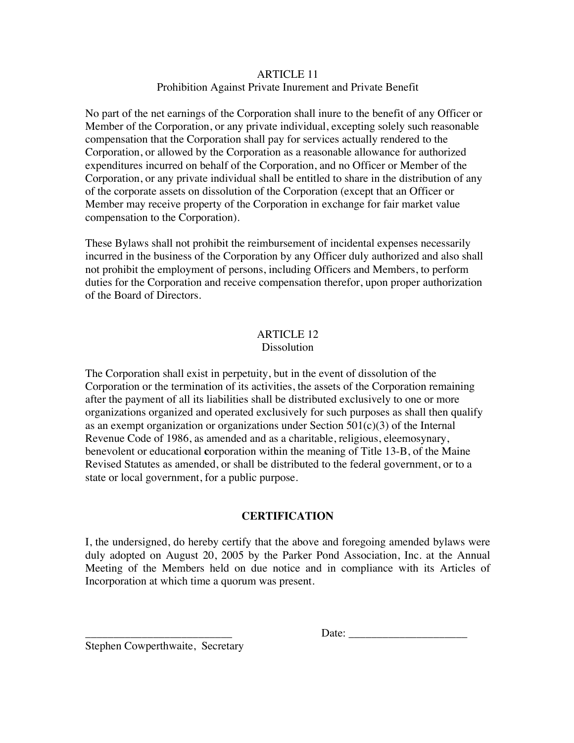## ARTICLE 11 Prohibition Against Private Inurement and Private Benefit

No part of the net earnings of the Corporation shall inure to the benefit of any Officer or Member of the Corporation, or any private individual, excepting solely such reasonable compensation that the Corporation shall pay for services actually rendered to the Corporation, or allowed by the Corporation as a reasonable allowance for authorized expenditures incurred on behalf of the Corporation, and no Officer or Member of the Corporation, or any private individual shall be entitled to share in the distribution of any of the corporate assets on dissolution of the Corporation (except that an Officer or Member may receive property of the Corporation in exchange for fair market value compensation to the Corporation).

These Bylaws shall not prohibit the reimbursement of incidental expenses necessarily incurred in the business of the Corporation by any Officer duly authorized and also shall not prohibit the employment of persons, including Officers and Members, to perform duties for the Corporation and receive compensation therefor, upon proper authorization of the Board of Directors.

# ARTICLE 12

## **Dissolution**

The Corporation shall exist in perpetuity, but in the event of dissolution of the Corporation or the termination of its activities, the assets of the Corporation remaining after the payment of all its liabilities shall be distributed exclusively to one or more organizations organized and operated exclusively for such purposes as shall then qualify as an exempt organization or organizations under Section  $501(c)(3)$  of the Internal Revenue Code of 1986, as amended and as a charitable, religious, eleemosynary, benevolent or educational **c**orporation within the meaning of Title 13-B, of the Maine Revised Statutes as amended, or shall be distributed to the federal government, or to a state or local government, for a public purpose.

# **CERTIFICATION**

I, the undersigned, do hereby certify that the above and foregoing amended bylaws were duly adopted on August 20, 2005 by the Parker Pond Association, Inc. at the Annual Meeting of the Members held on due notice and in compliance with its Articles of Incorporation at which time a quorum was present.

\_\_\_\_\_\_\_\_\_\_\_\_\_\_\_\_\_\_\_\_\_\_\_\_\_\_ Date: \_\_\_\_\_\_\_\_\_\_\_\_\_\_\_\_\_\_\_\_\_

Stephen Cowperthwaite, Secretary